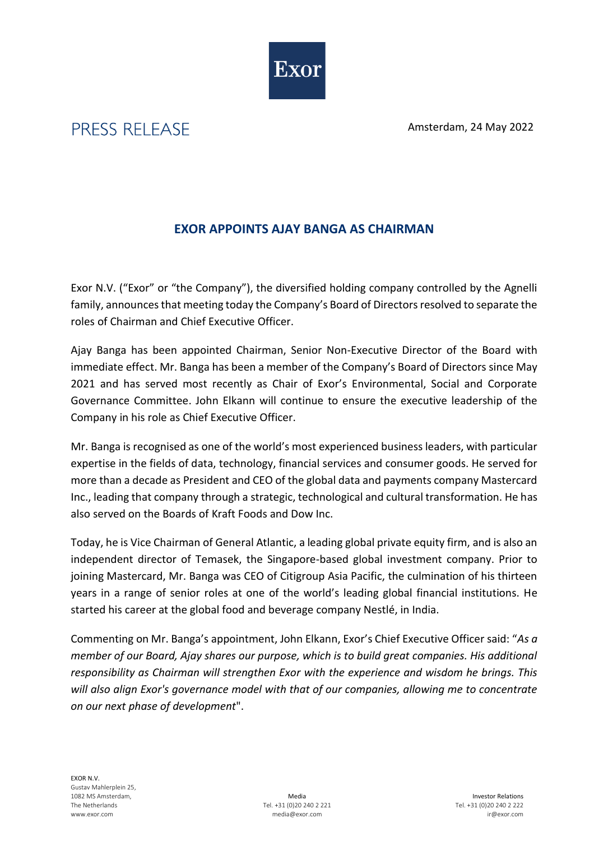Exor

Amsterdam, 24 May 2022

## **EXOR APPOINTS AJAY BANGA AS CHAIRMAN**

Exor N.V. ("Exor" or "the Company"), the diversified holding company controlled by the Agnelli family, announces that meeting today the Company's Board of Directors resolved to separate the roles of Chairman and Chief Executive Officer.

Ajay Banga has been appointed Chairman, Senior Non-Executive Director of the Board with immediate effect. Mr. Banga has been a member of the Company's Board of Directors since May 2021 and has served most recently as Chair of Exor's Environmental, Social and Corporate Governance Committee. John Elkann will continue to ensure the executive leadership of the Company in his role as Chief Executive Officer.

Mr. Banga is recognised as one of the world's most experienced business leaders, with particular expertise in the fields of data, technology, financial services and consumer goods. He served for more than a decade as President and CEO of the global data and payments company Mastercard Inc., leading that company through a strategic, technological and cultural transformation. He has also served on the Boards of Kraft Foods and Dow Inc.

Today, he is Vice Chairman of General Atlantic, a leading global private equity firm, and is also an independent director of Temasek, the Singapore-based global investment company. Prior to joining Mastercard, Mr. Banga was CEO of Citigroup Asia Pacific, the culmination of his thirteen years in a range of senior roles at one of the world's leading global financial institutions. He started his career at the global food and beverage company Nestlé, in India.

Commenting on Mr. Banga's appointment, John Elkann, Exor's Chief Executive Officer said: "*As a member of our Board, Ajay shares our purpose, which is to build great companies. His additional responsibility as Chairman will strengthen Exor with the experience and wisdom he brings. This will also align Exor's governance model with that of our companies, allowing me to concentrate on our next phase of development*".